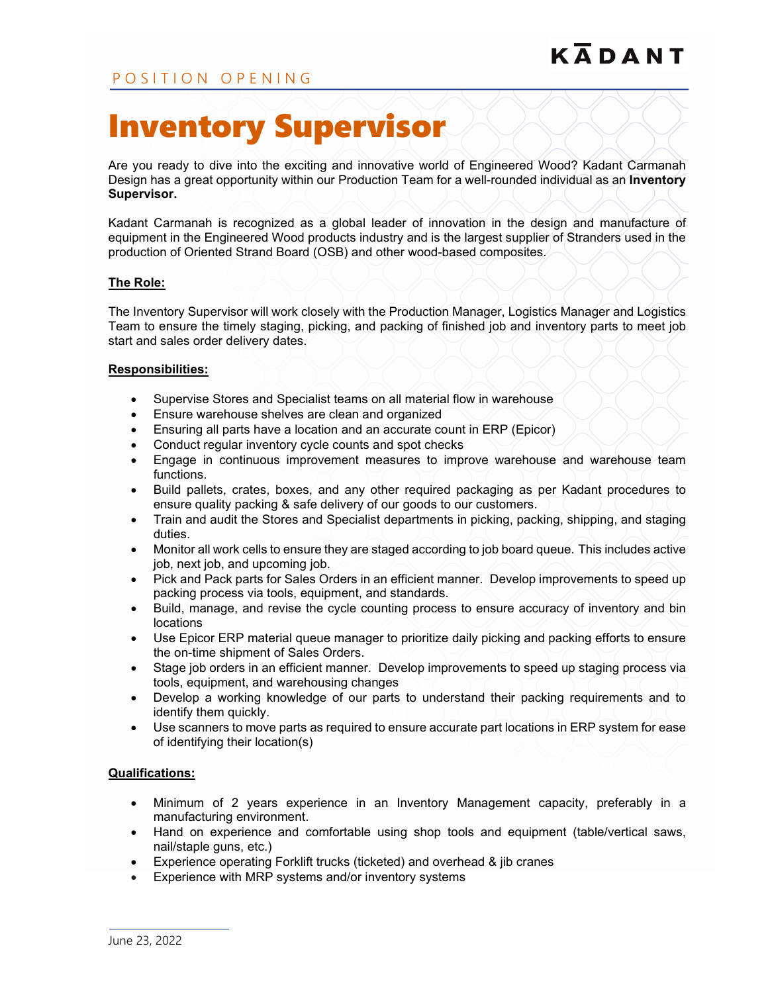# Inventory Supervisor

Are you ready to dive into the exciting and innovative world of Engineered Wood? Kadant Carmanah Design has a great opportunity within our Production Team for a well-rounded individual as an **Inventory Supervisor.**

Kadant Carmanah is recognized as a global leader of innovation in the design and manufacture of equipment in the Engineered Wood products industry and is the largest supplier of Stranders used in the production of Oriented Strand Board (OSB) and other wood-based composites.

## **The Role:**

The Inventory Supervisor will work closely with the Production Manager, Logistics Manager and Logistics Team to ensure the timely staging, picking, and packing of finished job and inventory parts to meet job start and sales order delivery dates.

### **Responsibilities:**

- Supervise Stores and Specialist teams on all material flow in warehouse
- Ensure warehouse shelves are clean and organized
- Ensuring all parts have a location and an accurate count in ERP (Epicor)
- Conduct regular inventory cycle counts and spot checks
- Engage in continuous improvement measures to improve warehouse and warehouse team functions.
- Build pallets, crates, boxes, and any other required packaging as per Kadant procedures to ensure quality packing & safe delivery of our goods to our customers.
- Train and audit the Stores and Specialist departments in picking, packing, shipping, and staging duties.
- Monitor all work cells to ensure they are staged according to job board queue. This includes active job, next job, and upcoming job.
- Pick and Pack parts for Sales Orders in an efficient manner. Develop improvements to speed up packing process via tools, equipment, and standards.
- Build, manage, and revise the cycle counting process to ensure accuracy of inventory and bin locations
- Use Epicor ERP material queue manager to prioritize daily picking and packing efforts to ensure the on-time shipment of Sales Orders.
- Stage job orders in an efficient manner. Develop improvements to speed up staging process via tools, equipment, and warehousing changes
- Develop a working knowledge of our parts to understand their packing requirements and to identify them quickly.
- Use scanners to move parts as required to ensure accurate part locations in ERP system for ease of identifying their location(s)

### **Qualifications:**

- Minimum of 2 years experience in an Inventory Management capacity, preferably in a manufacturing environment.
- Hand on experience and comfortable using shop tools and equipment (table/vertical saws, nail/staple guns, etc.)
- Experience operating Forklift trucks (ticketed) and overhead & jib cranes
- Experience with MRP systems and/or inventory systems